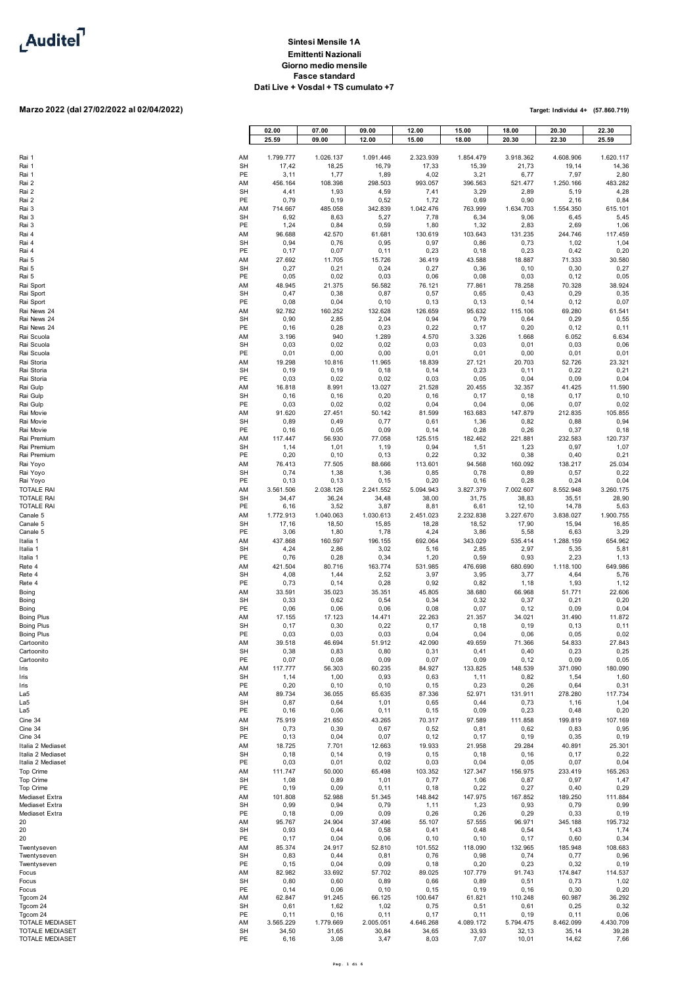

# **Marzo 2022 (dal 27/02/2022 al 02/04/2022)**

| Rai 1                                  |                                    |  |
|----------------------------------------|------------------------------------|--|
| Rai 1                                  |                                    |  |
| Rai 1                                  |                                    |  |
| Rai 2                                  |                                    |  |
| Rai 2<br>Rai 2                         |                                    |  |
| Rai 3                                  |                                    |  |
| Rai 3                                  |                                    |  |
| Rai 3                                  |                                    |  |
| Rai 4<br>Rai 4                         |                                    |  |
| Rai 4                                  |                                    |  |
| Rai 5                                  |                                    |  |
| Rai 5<br>Rai 5                         |                                    |  |
| Rai Sport                              |                                    |  |
| Rai Sport                              |                                    |  |
| Rai Sport                              |                                    |  |
| Rai News 24<br>Rai News 24             |                                    |  |
| Rai News 24                            |                                    |  |
| Rai Scuola                             |                                    |  |
| Rai Scuola<br>Rai Scuola               |                                    |  |
| Rai Storia                             |                                    |  |
| Rai Storia                             |                                    |  |
| Rai Storia<br>Rai Gulp                 |                                    |  |
| Rai Gulp                               |                                    |  |
| Rai Gulp                               |                                    |  |
| Rai Movie<br>Rai Movie                 |                                    |  |
| Rai Movie                              |                                    |  |
| Rai Premium                            |                                    |  |
| Rai Premium                            |                                    |  |
| Rai Premium<br>Rai Yoyo                |                                    |  |
| Rai Yoyo                               |                                    |  |
| Rai Yoyo                               |                                    |  |
| <b>TOTALE RAI</b><br>TOTALE RAI        |                                    |  |
| <b>TOTALE RAI</b>                      |                                    |  |
| Canale 5                               |                                    |  |
| Canale 5<br>Canale 5                   |                                    |  |
| Italia 1                               |                                    |  |
| Italia 1                               |                                    |  |
| Italia 1<br>Rete 4                     |                                    |  |
| Rete 4                                 |                                    |  |
| Rete 4                                 |                                    |  |
| Boing<br>Boing                         |                                    |  |
| Boing                                  |                                    |  |
| <b>Boing Plus</b>                      |                                    |  |
| <b>Boing Plus</b><br><b>Boing Plus</b> |                                    |  |
| Cartoonito                             |                                    |  |
| Cartoonito                             |                                    |  |
| Cartoonito<br>Iris                     |                                    |  |
| Iris                                   |                                    |  |
| Iris                                   |                                    |  |
| La5<br>La5                             |                                    |  |
| La5                                    |                                    |  |
| Cine 34                                |                                    |  |
| Cine 34                                |                                    |  |
| Cine 34                                | Italia 2 Mediaset                  |  |
|                                        | Italia 2 Mediaset                  |  |
|                                        | Italia 2 Mediaset                  |  |
| Top Crime<br>Top Crime                 |                                    |  |
| Top Crime                              |                                    |  |
|                                        | Mediaset Extra                     |  |
|                                        | Mediaset Extra<br>Mediaset Extra   |  |
| 20                                     |                                    |  |
| 20<br>20                               |                                    |  |
| Twentyseven                            |                                    |  |
| Twentyseven                            |                                    |  |
| Twentyseven                            |                                    |  |
| Focus<br>Focus                         |                                    |  |
| Focus                                  |                                    |  |
| Tgcom 24                               |                                    |  |
| Tgcom 24<br>Tgcom 24                   |                                    |  |
|                                        | <b>TOTALE MEDIASET</b>             |  |
|                                        | TOTALE MEDIASET<br>TOTALE MEDIASET |  |
|                                        |                                    |  |

|                                        |                 | 02.00              | 07.00              | 09.00              | 12.00              | 15.00              | 18.00              | 20.30              | 22.30              |
|----------------------------------------|-----------------|--------------------|--------------------|--------------------|--------------------|--------------------|--------------------|--------------------|--------------------|
|                                        |                 | 25.59              | 09.00              | 12.00              | 15.00              | 18.00              | 20.30              | 22.30              | 25.59              |
|                                        |                 |                    |                    |                    |                    |                    |                    |                    |                    |
| Rai 1<br>Rai 1                         | AM<br>SH        | 1.799.777<br>17,42 | 1.026.137<br>18,25 | 1.091.446<br>16,79 | 2.323.939<br>17,33 | 1.854.479<br>15,39 | 3.918.362<br>21,73 | 4.608.906<br>19,14 | 1.620.117<br>14,36 |
| Rai 1                                  | PE              | 3,11               | 1,77               | 1,89               | 4,02               | 3,21               | 6,77               | 7,97               | 2,80               |
| Rai 2                                  | AM              | 456.164            | 108.398            | 298.503            | 993.057            | 396.563            | 521.477            | 1.250.166          | 483.282            |
| Rai 2                                  | <b>SH</b>       | 4,41               | 1,93               | 4,59               | 7,41               | 3,29               | 2,89               | 5,19               | 4,28               |
| Rai 2<br>Rai 3                         | PE              | 0,79<br>714.667    | 0, 19<br>485.058   | 0,52<br>342.839    | 1,72<br>1.042.476  | 0,69<br>763.999    | 0,90<br>1.634.703  | 2,16<br>1.554.350  | 0,84<br>615.101    |
| Rai 3                                  | AM<br>SH        | 6,92               | 8,63               | 5,27               | 7,78               | 6,34               | 9,06               | 6,45               | 5,45               |
| Rai 3                                  | PE              | 1,24               | 0,84               | 0,59               | 1,80               | 1,32               | 2,83               | 2,69               | 1,06               |
| Rai 4                                  | AM              | 96.688             | 42.570             | 61.681             | 130.619            | 103.643            | 131.235            | 244.746            | 117.459            |
| Rai 4                                  | <b>SH</b><br>PE | 0,94               | 0,76               | 0,95               | 0,97               | 0,86               | 0,73               | 1,02               | 1,04               |
| Rai 4<br>Rai 5                         | AM              | 0,17<br>27.692     | 0,07<br>11.705     | 0,11<br>15.726     | 0,23<br>36.419     | 0, 18<br>43.588    | 0,23<br>18.887     | 0,42<br>71.333     | 0,20<br>30.580     |
| Rai 5                                  | <b>SH</b>       | 0,27               | 0,21               | 0,24               | 0,27               | 0,36               | 0, 10              | 0,30               | 0,27               |
| Rai 5                                  | PE              | 0,05               | 0,02               | 0,03               | 0,06               | 0,08               | 0,03               | 0, 12              | 0,05               |
| Rai Sport                              | AM              | 48.945             | 21.375             | 56.582             | 76.121             | 77.861             | 78.258             | 70.328             | 38.924             |
| Rai Sport<br>Rai Sport                 | SH<br>PE        | 0,47<br>0,08       | 0,38<br>0,04       | 0,87<br>0, 10      | 0,57<br>0, 13      | 0,65<br>0,13       | 0,43<br>0, 14      | 0,29<br>0, 12      | 0,35<br>0,07       |
| Rai News 24                            | AM              | 92.782             | 160.252            | 132.628            | 126.659            | 95.632             | 115.106            | 69.280             | 61.541             |
| Rai News 24                            | <b>SH</b>       | 0,90               | 2,85               | 2,04               | 0,94               | 0,79               | 0,64               | 0,29               | 0,55               |
| Rai News 24                            | PE              | 0, 16              | 0,28               | 0,23               | 0,22               | 0,17               | 0,20               | 0, 12              | 0,11               |
| Rai Scuola                             | AM              | 3.196              | 940                | 1.289              | 4.570              | 3.326              | 1.668              | 6.052              | 6.634              |
| Rai Scuola<br>Rai Scuola               | SH<br>PE        | 0,03<br>0,01       | 0,02<br>0,00       | 0,02<br>0,00       | 0,03<br>0,01       | 0,03<br>0,01       | 0,01<br>0,00       | 0,03<br>0,01       | 0,06<br>0,01       |
| Rai Storia                             | AM              | 19.298             | 10.816             | 11.965             | 18.839             | 27.121             | 20.703             | 52.726             | 23.321             |
| Rai Storia                             | <b>SH</b>       | 0, 19              | 0, 19              | 0, 18              | 0, 14              | 0,23               | 0, 11              | 0,22               | 0,21               |
| Rai Storia                             | PE              | 0,03               | 0,02               | 0,02               | 0,03               | 0,05               | 0,04               | 0,09               | 0,04               |
| Rai Gulp<br>Rai Gulp                   | AM<br>SH        | 16.818<br>0, 16    | 8.991<br>0, 16     | 13.027<br>0,20     | 21.528<br>0, 16    | 20.455<br>0,17     | 32.357<br>0, 18    | 41.425<br>0,17     | 11.590<br>0, 10    |
| Rai Gulp                               | PE              | 0,03               | 0,02               | 0,02               | 0,04               | 0,04               | 0,06               | 0,07               | 0,02               |
| Rai Movie                              | AM              | 91.620             | 27.451             | 50.142             | 81.599             | 163.683            | 147.879            | 212.835            | 105.855            |
| Rai Movie                              | SH              | 0,89               | 0,49               | 0,77               | 0,61               | 1,36               | 0,82               | 0,88               | 0,94               |
| Rai Movie                              | PE              | 0, 16              | 0,05               | 0,09               | 0, 14              | 0,28               | 0,26               | 0,37               | 0, 18              |
| Rai Premium<br>Rai Premium             | AM<br><b>SH</b> | 117.447<br>1,14    | 56.930<br>1,01     | 77.058<br>1,19     | 125.515<br>0,94    | 182.462<br>1,51    | 221.881<br>1,23    | 232.583<br>0,97    | 120.737<br>1,07    |
| Rai Premium                            | PE              | 0,20               | 0, 10              | 0, 13              | 0,22               | 0,32               | 0,38               | 0,40               | 0,21               |
| Rai Yoyo                               | AM              | 76.413             | 77.505             | 88.666             | 113.601            | 94.568             | 160.092            | 138.217            | 25.034             |
| Rai Yoyo                               | <b>SH</b>       | 0,74               | 1,38               | 1,36               | 0,85               | 0,78               | 0,89               | 0,57               | 0,22               |
| Rai Yoyo<br>TOTALE RAI                 | PE              | 0, 13<br>3.561.506 | 0, 13<br>2.038.126 | 0, 15<br>2.241.552 | 0,20<br>5.094.943  | 0, 16<br>3.827.379 | 0,28<br>7.002.607  | 0,24<br>8.552.948  | 0,04<br>3.260.175  |
| TOTALE RAI                             | AM<br>SH        | 34,47              | 36,24              | 34,48              | 38,00              | 31,75              | 38,83              | 35,51              | 28,90              |
| TOTALE RAI                             | PE              | 6,16               | 3,52               | 3,87               | 8,81               | 6,61               | 12,10              | 14,78              | 5,63               |
| Canale 5                               | AM              | 1.772.913          | 1.040.063          | 1.030.613          | 2.451.023          | 2.232.838          | 3.227.670          | 3.838.027          | 1.900.755          |
| Canale 5                               | <b>SH</b><br>PE | 17,16              | 18,50              | 15,85              | 18,28              | 18,52              | 17,90              | 15,94              | 16,85              |
| Canale 5<br>Italia 1                   | AM              | 3,06<br>437.868    | 1,80<br>160.597    | 1,78<br>196.155    | 4,24<br>692.064    | 3,86<br>343.029    | 5,58<br>535.414    | 6,63<br>1.288.159  | 3,29<br>654.962    |
| Italia 1                               | <b>SH</b>       | 4,24               | 2,86               | 3,02               | 5,16               | 2,85               | 2,97               | 5,35               | 5,81               |
| Italia 1                               | PE              | 0,76               | 0,28               | 0,34               | 1,20               | 0,59               | 0,93               | 2,23               | 1,13               |
| Rete 4                                 | AM              | 421.504            | 80.716             | 163.774            | 531.985            | 476.698            | 680.690            | 1.118.100          | 649.986            |
| Rete 4<br>Rete 4                       | SH<br>PE        | 4,08<br>0,73       | 1,44<br>0, 14      | 2,52<br>0,28       | 3,97<br>0,92       | 3,95<br>0,82       | 3,77<br>1,18       | 4,64<br>1,93       | 5,76<br>1,12       |
| Boing                                  | AM              | 33.591             | 35.023             | 35.351             | 45.805             | 38.680             | 66.968             | 51.771             | 22.606             |
| Boing                                  | SH              | 0,33               | 0,62               | 0,54               | 0,34               | 0,32               | 0,37               | 0,21               | 0,20               |
| Boing                                  | PE              | 0,06               | 0,06               | 0,06               | 0,08               | 0,07               | 0, 12              | 0,09               | 0,04               |
| <b>Boing Plus</b><br><b>Boing Plus</b> | AM<br>SH        | 17.155<br>0,17     | 17.123<br>0, 30    | 14.471<br>0,22     | 22.263<br>0,17     | 21.357<br>0, 18    | 34.021<br>0, 19    | 31.490<br>0, 13    | 11.872<br>0,11     |
| Boing Plus                             | PE              | 0,03               | 0,03               | 0,03               | 0,04               | 0,04               | 0,06               | 0,05               | 0,02               |
| Cartoonito                             | AM              | 39.518             | 46.694             | 51.912             | 42.090             | 49.659             | 71.366             | 54.833             | 27.843             |
| Cartoonito                             | SH              | 0,38               | 0,83               | 0,80               | 0,31               | 0,41               | 0,40               | 0,23               | 0,25               |
| Cartoonito                             | PE              | 0,07               | 0,08               | 0,09               | 0,07               | 0,09               | 0, 12              | 0,09               | 0,05               |
| Iris<br>Iris                           | AM<br>SH        | 117.777<br>1,14    | 56.303<br>1,00     | 60.235<br>0,93     | 84.927<br>0,63     | 133.825<br>1,11    | 148.539<br>0,82    | 371.090<br>1,54    | 180.090<br>1,60    |
| Iris                                   | PE              | 0,20               | 0, 10              | 0, 10              | 0, 15              | 0,23               | 0,26               | 0,64               | 0,31               |
| La5                                    | AM              | 89.734             | 36.055             | 65.635             | 87.336             | 52.971             | 131.911            | 278.280            | 117.734            |
| La5                                    | <b>SH</b>       | 0,87               | 0,64               | 1,01               | 0,65               | 0,44               | 0,73               | 1,16               | 1,04               |
| La5                                    | PE              | 0, 16              | 0,06               | 0,11               | 0, 15              | 0,09               | 0,23               | 0,48               | 0,20               |
| Cine 34<br>Cine 34                     | AM<br>SH        | 75.919<br>0,73     | 21.650<br>0,39     | 43.265<br>0,67     | 70.317<br>0,52     | 97.589<br>0,81     | 111.858<br>0,62    | 199.819<br>0,83    | 107.169<br>0,95    |
| Cine 34                                | PE              | 0, 13              | 0,04               | 0,07               | 0, 12              | 0,17               | 0, 19              | 0,35               | 0, 19              |
| Italia 2 Mediaset                      | AM              | 18.725             | 7.701              | 12.663             | 19.933             | 21.958             | 29.284             | 40.891             | 25.301             |
| Italia 2 Mediaset                      | SH              | 0, 18              | 0, 14              | 0, 19              | 0, 15              | 0, 18              | 0, 16              | 0, 17              | 0,22               |
| Italia 2 Mediaset<br>Top Crime         | PE<br>AM        | 0,03<br>111.747    | 0,01<br>50.000     | 0,02<br>65.498     | 0,03<br>103.352    | 0,04<br>127.347    | 0,05<br>156.975    | 0,07<br>233.419    | 0,04<br>165.263    |
| Top Crime                              | SH              | 1,08               | 0,89               | 1,01               | 0,77               | 1,06               | 0,87               | 0,97               | 1,47               |
| Top Crime                              | PE              | 0,19               | 0,09               | 0,11               | 0, 18              | 0,22               | 0,27               | 0,40               | 0,29               |
| Mediaset Extra                         | AM              | 101.808            | 52.988             | 51.345             | 148.842            | 147.975            | 167.852            | 189.250            | 111.884            |
| Mediaset Extra                         | SH              | 0,99               | 0,94               | 0,79               | 1,11               | 1,23               | 0,93               | 0,79               | 0,99               |
| Mediaset Extra<br>20                   | PE<br>AM        | 0, 18<br>95.767    | 0,09<br>24.904     | 0,09<br>37.496     | 0,26<br>55.107     | 0,26<br>57.555     | 0,29<br>96.971     | 0,33<br>345.188    | 0, 19<br>195.732   |
| 20                                     | SH              | 0,93               | 0,44               | 0,58               | 0,41               | 0,48               | 0,54               | 1,43               | 1,74               |
| 20                                     | PE              | 0,17               | 0,04               | 0,06               | 0, 10              | 0, 10              | 0,17               | 0,60               | 0,34               |
| Twentyseven                            | AM              | 85.374             | 24.917             | 52.810             | 101.552            | 118.090            | 132.965            | 185.948            | 108.683            |
| Twentyseven<br>Twentyseven             | SH<br>PE        | 0,83<br>0, 15      | 0,44<br>0,04       | 0,81<br>0,09       | 0,76<br>0, 18      | 0,98<br>0,20       | 0,74<br>0,23       | 0,77<br>0,32       | 0,96<br>0, 19      |
| Focus                                  | AM              | 82.982             | 33.692             | 57.702             | 89.025             | 107.779            | 91.743             | 174.847            | 114.537            |
| Focus                                  | <b>SH</b>       | 0,80               | 0,60               | 0,89               | 0,66               | 0,89               | 0,51               | 0,73               | 1,02               |
| Focus                                  | PE              | 0, 14              | 0,06               | 0, 10              | 0, 15              | 0, 19              | 0, 16              | 0,30               | 0,20               |
| Tgcom 24                               | ΑM<br><b>SH</b> | 62.847<br>0,61     | 91.245<br>1,62     | 66.125<br>1,02     | 100.647<br>0,75    | 61.821<br>0,51     | 110.248<br>0,61    | 60.987<br>0,25     | 36.292<br>0,32     |
| Tgcom 24<br>Tgcom 24                   | PE              | 0, 11              | 0, 16              | 0,11               | 0,17               | 0, 11              | 0,19               | 0, 11              | 0,06               |
| TOTALE MEDIASET                        | AM              | 3.565.229          | 1.779.669          | 2.005.051          | 4.646.268          | 4.089.172          | 5.794.475          | 8.462.099          | 4.430.709          |
| TOTALE MEDIASET                        | SH              | 34,50              | 31,65              | 30,84              | 34,65              | 33,93              | 32,13              | 35,14              | 39,28              |
| TOTALE MEDIASET                        | PE              | 6,16               | 3,08               | 3,47               | 8,03               | 7,07               | 10,01              | 14,62              | 7,66               |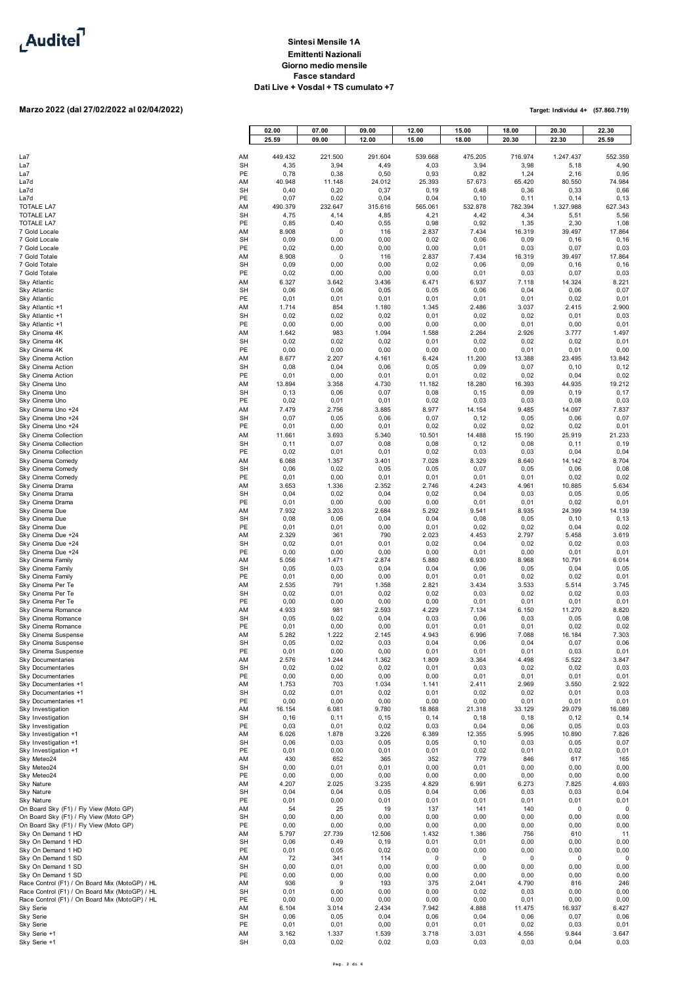

# **Marzo 2022 (dal 27/02/2022 al 02/04/2022)**

|                                                                                                  |                 | 02.00<br>25.59  | 07.00<br>09.00  | 09.00<br>12.00  | 12.00<br>15.00  | 15.00<br>18.00   | 18.00<br>20.30   | 20.30<br>22.30     | 22.30<br>25.59      |
|--------------------------------------------------------------------------------------------------|-----------------|-----------------|-----------------|-----------------|-----------------|------------------|------------------|--------------------|---------------------|
|                                                                                                  |                 |                 |                 |                 |                 |                  |                  |                    |                     |
| La7<br>La7                                                                                       | AM<br><b>SH</b> | 449.432<br>4,35 | 221.500<br>3,94 | 291.604<br>4,49 | 539.668<br>4,03 | 475.205<br>3,94  | 716.974<br>3,98  | 1.247.437<br>5,18  | 552.359<br>4,90     |
| La7<br>La7d                                                                                      | PE<br>AM        | 0,78<br>40.948  | 0,38<br>11.148  | 0,50<br>24.012  | 0,93<br>25.393  | 0,82<br>57.673   | 1,24<br>65.420   | 2,16<br>80.550     | 0,95<br>74.984      |
| La7d                                                                                             | <b>SH</b>       | 0,40            | 0,20            | 0,37            | 0, 19           | 0,48             | 0,36             | 0,33               | 0,66                |
| La7d<br><b>TOTALE LA7</b>                                                                        | PE<br>AM        | 0,07<br>490.379 | 0,02<br>232.647 | 0,04<br>315.616 | 0,04<br>565.061 | 0, 10<br>532.878 | 0, 11<br>782.394 | 0, 14<br>1.327.988 | 0, 13<br>627.343    |
| <b>TOTALE LA7</b>                                                                                | <b>SH</b>       | 4,75            | 4,14            | 4,85            | 4,21            | 4,42             | 4,34             | 5,51               | 5,56                |
| <b>TOTALE LA7</b><br>7 Gold Locale                                                               | PE<br>AM        | 0,85<br>8.908   | 0,40<br>0       | 0,55<br>116     | 0,98<br>2.837   | 0,92<br>7.434    | 1,35<br>16.319   | 2,30<br>39.497     | 1,08<br>17.864      |
| 7 Gold Locale                                                                                    | <b>SH</b>       | 0,09            | 0,00            | 0,00            | 0,02            | 0,06             | 0,09             | 0, 16              | 0, 16               |
| 7 Gold Locale<br>7 Gold Totale                                                                   | PE<br>AM        | 0,02<br>8.908   | 0,00<br>0       | 0,00<br>116     | 0,00<br>2.837   | 0,01<br>7.434    | 0,03<br>16.319   | 0,07<br>39.497     | 0,03<br>17.864      |
| 7 Gold Totale<br>7 Gold Totale                                                                   | <b>SH</b><br>PE | 0,09            | 0,00            | 0,00            | 0,02            | 0,06             | 0,09             | 0, 16              | 0, 16               |
| Sky Atlantic                                                                                     | AM              | 0,02<br>6.327   | 0,00<br>3.642   | 0,00<br>3.436   | 0,00<br>6.471   | 0,01<br>6.937    | 0,03<br>7.118    | 0,07<br>14.324     | 0,03<br>8.221       |
| Sky Atlantic                                                                                     | <b>SH</b><br>PE | 0,06<br>0,01    | 0,06            | 0,05            | 0,05<br>0,01    | 0,06<br>0,01     | 0,04<br>0,01     | 0,06<br>0,02       | 0,07<br>0,01        |
| Sky Atlantic<br>Sky Atlantic +1                                                                  | AM              | 1.714           | 0,01<br>854     | 0,01<br>1.180   | 1.345           | 2.486            | 3.037            | 2.415              | 2.900               |
| Sky Atlantic +1<br>Sky Atlantic +1                                                               | <b>SH</b><br>PE | 0,02<br>0,00    | 0,02<br>0,00    | 0,02<br>0,00    | 0,01<br>0,00    | 0,02<br>0,00     | 0,02<br>0,01     | 0,01<br>0,00       | 0,03<br>0,01        |
| Sky Cinema 4K                                                                                    | AM              | 1.642           | 983             | 1.094           | 1.588           | 2.264            | 2.926            | 3.777              | 1.497               |
| Sky Cinema 4K<br>Sky Cinema 4K                                                                   | <b>SH</b><br>PE | 0,02<br>0,00    | 0,02<br>0,00    | 0,02<br>0,00    | 0,01<br>0,00    | 0,02<br>0,00     | 0,02<br>0,01     | 0,02<br>0,01       | 0,01<br>0,00        |
| Sky Cinema Action                                                                                | AM              | 8.677           | 2.207           | 4.161           | 6.424           | 11.200           | 13.388           | 23.495             | 13.842              |
| Sky Cinema Action<br>Sky Cinema Action                                                           | <b>SH</b><br>PE | 0,08<br>0,01    | 0,04<br>0,00    | 0,06<br>0,01    | 0,05<br>0,01    | 0,09<br>0,02     | 0,07<br>0,02     | 0, 10<br>0,04      | 0, 12<br>0,02       |
| Sky Cinema Uno                                                                                   | AM              | 13.894          | 3.358           | 4.730           | 11.182          | 18.280           | 16.393           | 44.935             | 19.212              |
| Sky Cinema Uno<br>Sky Cinema Uno                                                                 | <b>SH</b><br>PE | 0, 13<br>0,02   | 0,06<br>0,01    | 0,07<br>0,01    | 0,08<br>0,02    | 0, 15<br>0,03    | 0,09<br>0,03     | 0, 19<br>0,08      | 0,17<br>0,03        |
| Sky Cinema Uno +24                                                                               | AM              | 7.479           | 2.756           | 3.885           | 8.977           | 14.154           | 9.485            | 14.097             | 7.837               |
| Sky Cinema Uno +24<br>Sky Cinema Uno +24                                                         | <b>SH</b><br>PE | 0,07<br>0,01    | 0,05<br>0,00    | 0,06<br>0,01    | 0,07<br>0,02    | 0, 12<br>0,02    | 0,05<br>0,02     | 0,06<br>0,02       | 0,07<br>0,01        |
| Sky Cinema Collection                                                                            | AM              | 11.661          | 3.693           | 5.340           | 10.501          | 14.488           | 15.190           | 25.919             | 21.233              |
| Sky Cinema Collection<br>Sky Cinema Collection                                                   | <b>SH</b><br>PE | 0, 11<br>0,02   | 0,07<br>0,01    | 0,08<br>0,01    | 0,08<br>0,02    | 0, 12<br>0,03    | 0,08<br>0,03     | 0, 11<br>0,04      | 0, 19<br>0,04       |
| Sky Cinema Comedy                                                                                | AM<br><b>SH</b> | 6.088           | 1.357           | 3.401<br>0,05   | 7.028           | 8.329            | 8.640<br>0,05    | 14.142<br>0,06     | 8.704               |
| Sky Cinema Comedy<br>Sky Cinema Comedy                                                           | PE              | 0,06<br>0,01    | 0,02<br>0,00    | 0,01            | 0,05<br>0,01    | 0,07<br>0,01     | 0,01             | 0,02               | 0,08<br>0,02        |
| Sky Cinema Drama<br>Sky Cinema Drama                                                             | AM<br><b>SH</b> | 3.653<br>0,04   | 1.336<br>0,02   | 2.352<br>0,04   | 2.746<br>0,02   | 4.243<br>0,04    | 4.961<br>0,03    | 10.885<br>0,05     | 5.634<br>0,05       |
| Sky Cinema Drama                                                                                 | PE              | 0,01            | 0,00            | 0,00            | 0,00            | 0,01             | 0,01             | 0,02               | 0,01                |
| Sky Cinema Due<br>Sky Cinema Due                                                                 | AM<br><b>SH</b> | 7.932<br>0,08   | 3.203<br>0,06   | 2.684<br>0,04   | 5.292<br>0,04   | 9.541<br>0,08    | 8.935<br>0,05    | 24.399<br>0, 10    | 14.139<br>0, 13     |
| Sky Cinema Due                                                                                   | PE              | 0,01            | 0,01            | 0,00            | 0,01            | 0,02             | 0,02             | 0,04               | 0,02                |
| Sky Cinema Due +24<br>Sky Cinema Due +24                                                         | AM<br><b>SH</b> | 2.329<br>0,02   | 361<br>0,01     | 790<br>0,01     | 2.023<br>0,02   | 4.453<br>0,04    | 2.797<br>0,02    | 5.458<br>0,02      | 3.619<br>0,03       |
| Sky Cinema Due +24<br>Sky Cinema Family                                                          | PE<br>AM        | 0,00<br>5.056   | 0,00<br>1.471   | 0,00<br>2.874   | 0,00<br>5.880   | 0,01<br>6.930    | 0,00<br>8.968    | 0,01<br>10.791     | 0,01<br>6.014       |
| Sky Cinema Family                                                                                | <b>SH</b>       | 0,05            | 0,03            | 0,04            | 0,04            | 0,06             | 0,05             | 0,04               | 0,05                |
| Sky Cinema Family<br>Sky Cinema Per Te                                                           | PE<br>AM        | 0,01<br>2.535   | 0,00<br>791     | 0,00<br>1.358   | 0,01<br>2.821   | 0,01<br>3.434    | 0,02<br>3.533    | 0,02<br>5.514      | 0,01<br>3.745       |
| Sky Cinema Per Te                                                                                | <b>SH</b>       | 0,02            | 0,01            | 0,02            | 0,02            | 0,03             | 0,02             | 0,02               | 0,03                |
| Sky Cinema Per Te<br>Sky Cinema Romance                                                          | PE<br>AM        | 0,00<br>4.933   | 0,00<br>981     | 0,00<br>2.593   | 0,00<br>4.229   | 0,01<br>7.134    | 0,01<br>6.150    | 0,01<br>11.270     | 0,01<br>8.820       |
| Sky Cinema Romance                                                                               | <b>SH</b><br>PE | 0,05<br>0,01    | 0,02<br>0,00    | 0,04            | 0,03<br>0,01    | 0,06<br>0,01     | 0,03<br>0,01     | 0,05<br>0,02       | 0,08<br>0,02        |
| Sky Cinema Romance<br>Sky Cinema Suspense                                                        | AM              | 5.282           | 1.222           | 0,00<br>2.145   | 4.943           | 6.996            | 7.088            | 16.184             | 7.303               |
| Sky Cinema Suspense<br>Sky Cinema Suspense                                                       | <b>SH</b><br>PE | 0,05<br>0,01    | 0,02<br>0,00    | 0,03<br>0,00    | 0,04<br>0,01    | 0,06<br>0,01     | 0,04<br>0,01     | 0,07<br>0,03       | 0,06<br>0,01        |
| <b>Sky Documentaries</b>                                                                         | AM              | 2.576           | 1.244           | 1.362           | 1.809           | 3.364            | 4.498            | 5.522              | 3.847               |
| <b>Sky Documentaries</b><br><b>Sky Documentaries</b>                                             | <b>SH</b><br>PE | 0,02<br>0,00    | 0,02<br>0,00    | 0,02<br>0,00    | 0,01<br>0,00    | 0,03<br>0,01     | 0,02<br>0,01     | 0,02<br>0,01       | 0,03<br>0,01        |
| Sky Documentaries +1                                                                             | AM<br>SH        | 1.753<br>0,02   | 703<br>0,01     | 1.034           | 1.141           | 2.411<br>0,02    | 2.969            | 3.550              | 2.922<br>0,03       |
| Sky Documentaries +1<br>Sky Documentaries +1                                                     | PE              | 0,00            | 0,00            | 0,02<br>0,00    | 0,01<br>0,00    | 0,00             | 0,02<br>0,01     | 0,01<br>0,01       | 0,01                |
| Sky Investigation<br>Sky Investigation                                                           | AM<br><b>SH</b> | 16.154<br>0, 16 | 6.081<br>0, 11  | 9.780<br>0, 15  | 18.868<br>0, 14 | 21.318<br>0, 18  | 33.129<br>0, 18  | 29.079<br>0, 12    | 16.089<br>0, 14     |
| Sky Investigation                                                                                | PE              | 0,03            | 0,01            | 0,02            | 0,03            | 0,04             | 0,06             | 0,05               | 0,03                |
| Sky Investigation +1<br>Sky Investigation +1                                                     | AM<br><b>SH</b> | 6.026<br>0,06   | 1.878<br>0,03   | 3.226<br>0,05   | 6.389<br>0,05   | 12.355<br>0, 10  | 5.995<br>0,03    | 10.890<br>0,05     | 7.826<br>0,07       |
| Sky Investigation +1                                                                             | PE              | 0,01            | 0,00            | 0,01            | 0,01            | 0,02             | 0,01             | 0,02               | 0,01                |
| Sky Meteo24<br>Sky Meteo24                                                                       | AM<br><b>SH</b> | 430<br>0,00     | 652<br>0,01     | 365<br>0,01     | 352<br>0,00     | 779<br>0,01      | 846<br>0,00      | 617<br>0,00        | 165<br>0,00         |
| Sky Meteo24<br>Sky Nature                                                                        | PE<br>AM        | 0,00<br>4.207   | 0,00<br>2.025   | 0,00<br>3.235   | 0,00<br>4.829   | 0,00<br>6.991    | 0,00<br>6.273    | 0,00<br>7.825      | 0,00<br>4.693       |
| Sky Nature                                                                                       | <b>SH</b>       | 0,04            | 0,04            | 0,05            | 0,04            | 0,06             | 0,03             | 0,03               | 0,04                |
| Sky Nature<br>On Board Sky (F1) / Fly View (Moto GP)                                             | PE<br>AM        | 0,01<br>54      | 0,00<br>25      | 0,01<br>19      | 0,01<br>137     | 0,01<br>141      | 0,01<br>140      | 0,01<br>0          | 0,01<br>$\mathbf 0$ |
| On Board Sky (F1) / Fly View (Moto GP)                                                           | <b>SH</b>       | 0,00            | 0,00            | 0,00            | 0,00            | 0,00             | 0,00             | 0,00               | 0,00                |
| On Board Sky (F1) / Fly View (Moto GP)<br>Sky On Demand 1 HD                                     | PE<br>AM        | 0,00<br>5.797   | 0,00<br>27.739  | 0,00<br>12.506  | 0,00<br>1.432   | 0,00<br>1.386    | 0,00<br>756      | 0,00<br>610        | 0,00<br>11          |
| Sky On Demand 1 HD                                                                               | <b>SH</b>       | 0,06            | 0,49            | 0, 19           | 0,01            | 0,01             | 0,00             | 0,00               | 0,00                |
| Sky On Demand 1 HD<br>Sky On Demand 1 SD                                                         | PE<br>AM        | 0,01<br>72      | 0,05<br>341     | 0,02<br>114     | 0,00<br>0       | 0,00<br>0        | 0,00<br>0        | 0,00<br>0          | 0,00<br>$\mathbf 0$ |
| Sky On Demand 1 SD<br>Sky On Demand 1 SD                                                         | <b>SH</b><br>PE | 0,00<br>0,00    | 0,01<br>0,00    | 0,00<br>0,00    | 0,00<br>0,00    | 0,00<br>0,00     | 0,00<br>0,00     | 0,00<br>0,00       | 0,00<br>0,00        |
| Race Control (F1) / On Board Mix (MotoGP) / HL                                                   | AM              | 936             | 9               | 193             | 375             | 2.041            | 4.790            | 816                | 246                 |
| Race Control (F1) / On Board Mix (MotoGP) / HL<br>Race Control (F1) / On Board Mix (MotoGP) / HL | <b>SH</b><br>PE | 0,01<br>0,00    | 0,00<br>0,00    | 0,00<br>0,00    | 0,00<br>0,00    | 0,02<br>0,00     | 0,03<br>0,01     | 0,00<br>0,00       | 0,00<br>0,00        |
| Sky Serie                                                                                        | AM              | 6.104           | 3.014           | 2.434           | 7.942           | 4.888            | 11.475           | 16.937             | 6.427               |
| Sky Serie<br>Sky Serie                                                                           | <b>SH</b><br>PE | 0,06<br>0,01    | 0,05<br>0,01    | 0,04<br>0,00    | 0,06<br>0,01    | 0,04<br>0,01     | 0,06<br>0,02     | 0,07<br>0,03       | 0,06<br>0,01        |
| Sky Serie +1                                                                                     | AM              | 3.162           | 1.337           | 1.539           | 3.718           | 3.031            | 4.556            | 9.844              | 3.647               |
| Sky Serie +1                                                                                     | <b>SH</b>       | 0,03            | 0,02            | 0,02            | 0,03            | 0,03             | 0,03             | 0,04               | 0,03                |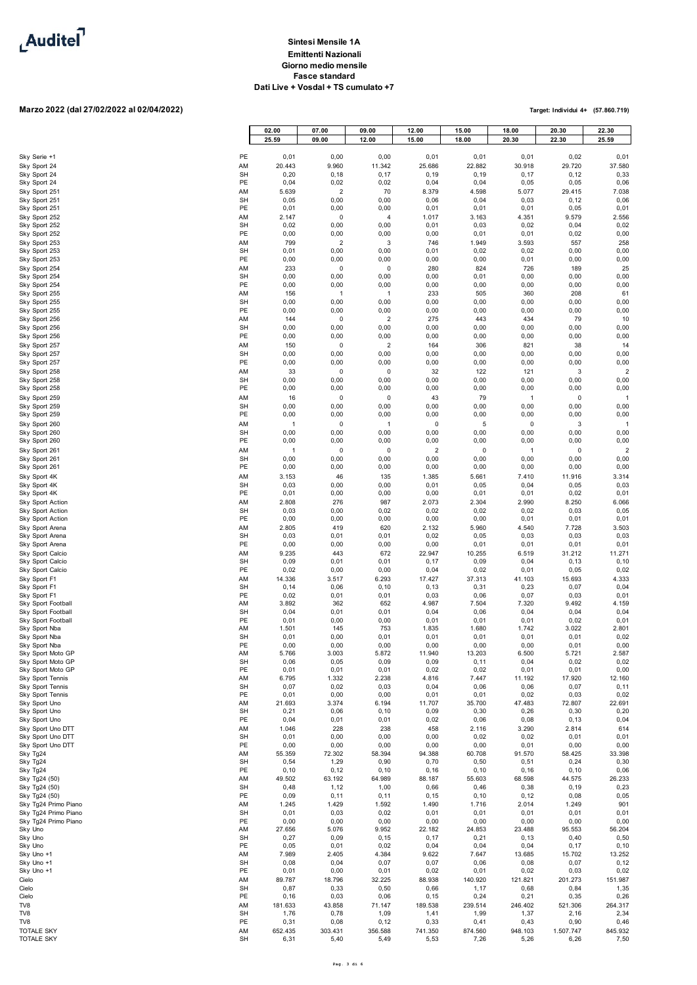

### **Marzo 2022 (dal 27/02/2022 al 02/04/2022)**

|                                              |                 | 02.00<br>25.59         | 07.00<br>09.00         | 09.00<br>12.00         | 12.00<br>15.00     | 15.00<br>18.00 | 18.00<br>20.30       | 20.30<br>22.30      | 22.30<br>25.59         |
|----------------------------------------------|-----------------|------------------------|------------------------|------------------------|--------------------|----------------|----------------------|---------------------|------------------------|
|                                              |                 |                        |                        |                        |                    |                |                      |                     |                        |
| Sky Serie +1<br>Sky Sport 24                 | PE<br>AM        | 0,01<br>20.443         | 0,00<br>9.960          | 0,00<br>11.342         | 0,01<br>25.686     | 0,01<br>22.882 | 0,01<br>30.918       | 0,02<br>29.720      | 0,01<br>37.580         |
| Sky Sport 24                                 | <b>SH</b>       | 0,20                   | 0, 18                  | 0,17                   | 0, 19              | 0, 19          | 0,17                 | 0, 12               | 0,33                   |
| Sky Sport 24<br>Sky Sport 251                | PE<br>AM        | 0,04<br>5.639          | 0,02<br>$\overline{2}$ | 0,02<br>70             | 0,04<br>8.379      | 0,04<br>4.598  | 0,05<br>5.077        | 0,05<br>29.415      | 0,06<br>7.038          |
| Sky Sport 251                                | SH              | 0,05                   | 0,00                   | 0,00                   | 0,06               | 0,04           | 0,03                 | 0, 12               | 0,06                   |
| Sky Sport 251<br>Sky Sport 252               | PE<br>AM        | 0,01<br>2.147          | 0,00<br>0              | 0,00<br>$\overline{4}$ | 0,01<br>1.017      | 0,01<br>3.163  | 0,01<br>4.351        | 0,05<br>9.579       | 0,01<br>2.556          |
| Sky Sport 252                                | <b>SH</b>       | 0,02                   | 0,00                   | 0,00                   | 0,01               | 0,03           | 0,02                 | 0,04                | 0,02                   |
| Sky Sport 252                                | PE              | 0,00                   | 0,00                   | 0,00                   | 0,00               | 0,01           | 0,01                 | 0,02                | 0,00                   |
| Sky Sport 253<br>Sky Sport 253               | AM<br>SH        | 799<br>0,01            | $\overline{2}$<br>0,00 | 3<br>0,00              | 746<br>0,01        | 1.949<br>0,02  | 3.593<br>0,02        | 557<br>0,00         | 258<br>0,00            |
| Sky Sport 253                                | PE              | 0,00                   | 0,00                   | 0,00                   | 0,00               | 0,00           | 0,01                 | 0,00                | 0,00                   |
| Sky Sport 254<br>Sky Sport 254               | AM<br>SH        | 233<br>0,00            | 0<br>0,00              | 0<br>0,00              | 280<br>0,00        | 824<br>0,01    | 726<br>0,00          | 189<br>0,00         | 25<br>0,00             |
| Sky Sport 254                                | PE              | 0,00                   | 0,00                   | 0,00                   | 0,00               | 0,00           | 0,00                 | 0,00                | 0,00                   |
| Sky Sport 255<br>Sky Sport 255               | AM<br><b>SH</b> | 156<br>0,00            | $\mathbf{1}$<br>0,00   | $\mathbf{1}$<br>0,00   | 233<br>0,00        | 505<br>0,00    | 360<br>0,00          | 208<br>0,00         | 61<br>0,00             |
| Sky Sport 255                                | PE              | 0,00                   | 0,00                   | 0,00                   | 0,00               | 0,00           | 0,00                 | 0,00                | 0,00                   |
| Sky Sport 256                                | AM              | 144                    | 0                      | $\overline{2}$         | 275                | 443            | 434                  | 79                  | 10                     |
| Sky Sport 256<br>Sky Sport 256               | SH<br>PE        | 0,00<br>0,00           | 0,00<br>0,00           | 0,00<br>0,00           | 0,00<br>0,00       | 0,00<br>0,00   | 0,00<br>0,00         | 0,00<br>0,00        | 0,00<br>0,00           |
| Sky Sport 257                                | AM              | 150                    | 0                      | $\overline{2}$         | 164                | 306            | 821                  | 38                  | 14                     |
| Sky Sport 257                                | SH<br>PE        | 0,00<br>0,00           | 0,00<br>0,00           | 0,00<br>0,00           | 0,00<br>0,00       | 0,00<br>0,00   | 0,00<br>0,00         | 0,00<br>0,00        | 0,00<br>0,00           |
| Sky Sport 257<br>Sky Sport 258               | AM              | 33                     | 0                      | $\mathbf 0$            | 32                 | 122            | 121                  | 3                   | $\overline{2}$         |
| Sky Sport 258                                | SH              | 0,00                   | 0,00                   | 0,00                   | 0,00               | 0,00           | 0,00                 | 0,00                | 0,00                   |
| Sky Sport 258<br>Sky Sport 259               | PE<br>AM        | 0,00<br>16             | 0,00<br>0              | 0,00<br>$\mathbf 0$    | 0,00<br>43         | 0,00<br>79     | 0,00<br>$\mathbf{1}$ | 0,00<br>$\Omega$    | 0,00<br>$\mathbf{1}$   |
| Sky Sport 259                                | SH              | 0,00                   | 0,00                   | 0,00                   | 0,00               | 0,00           | 0,00                 | 0,00                | 0,00                   |
| Sky Sport 259                                | PE              | 0,00                   | 0,00                   | 0,00                   | 0,00               | 0,00           | 0,00                 | 0,00                | 0,00                   |
| Sky Sport 260<br>Sky Sport 260               | AM<br>SH        | $\overline{1}$<br>0,00 | 0<br>0,00              | $\overline{1}$<br>0,00 | 0<br>0,00          | 5<br>0,00      | 0<br>0,00            | 3<br>0,00           | $\overline{1}$<br>0,00 |
| Sky Sport 260                                | PE              | 0,00                   | 0,00                   | 0,00                   | 0,00               | 0,00           | 0,00                 | 0,00                | 0,00                   |
| Sky Sport 261<br>Sky Sport 261               | AM<br><b>SH</b> | $\mathbf{1}$<br>0,00   | 0<br>0,00              | $\mathbf 0$<br>0,00    | $\sqrt{2}$<br>0,00 | 0<br>0,00      | $\mathbf{1}$<br>0,00 | $\mathbf 0$<br>0,00 | $\overline{2}$<br>0,00 |
| Sky Sport 261                                | PE              | 0,00                   | 0,00                   | 0,00                   | 0,00               | 0,00           | 0,00                 | 0,00                | 0,00                   |
| Sky Sport 4K                                 | AM              | 3.153                  | 46                     | 135                    | 1.385              | 5.661          | 7.410                | 11.916              | 3.314                  |
| Sky Sport 4K<br>Sky Sport 4K                 | <b>SH</b><br>PE | 0,03<br>0,01           | 0,00<br>0,00           | 0,00<br>0,00           | 0,01<br>0,00       | 0,05<br>0,01   | 0,04<br>0,01         | 0,05<br>0,02        | 0,03<br>0,01           |
| Sky Sport Action                             | AM              | 2.808                  | 276                    | 987                    | 2.073              | 2.304          | 2.990                | 8.250               | 6.066                  |
| Sky Sport Action<br>Sky Sport Action         | <b>SH</b><br>PE | 0,03<br>0,00           | 0,00<br>0,00           | 0,02<br>0,00           | 0,02<br>0,00       | 0,02<br>0,00   | 0,02<br>0,01         | 0,03<br>0,01        | 0,05<br>0,01           |
| Sky Sport Arena                              | AM              | 2.805                  | 419                    | 620                    | 2.132              | 5.960          | 4.540                | 7.728               | 3.503                  |
| Sky Sport Arena<br>Sky Sport Arena           | SH<br>PE        | 0,03<br>0,00           | 0,01<br>0,00           | 0,01<br>0,00           | 0,02<br>0,00       | 0,05<br>0,01   | 0,03<br>0,01         | 0,03<br>0,01        | 0,03<br>0,01           |
| Sky Sport Calcio                             | AM              | 9.235                  | 443                    | 672                    | 22.947             | 10.255         | 6.519                | 31.212              | 11.271                 |
| Sky Sport Calcio                             | <b>SH</b>       | 0,09                   | 0,01                   | 0,01                   | 0, 17              | 0,09           | 0,04                 | 0, 13               | 0, 10                  |
| Sky Sport Calcio<br>Sky Sport F1             | PE<br>AM        | 0,02<br>14.336         | 0,00<br>3.517          | 0,00<br>6.293          | 0,04<br>17.427     | 0,02<br>37.313 | 0,01<br>41.103       | 0,05<br>15.693      | 0,02<br>4.333          |
| Sky Sport F1                                 | SH              | 0, 14                  | 0,06                   | 0, 10                  | 0, 13              | 0,31           | 0,23                 | 0,07                | 0,04                   |
| Sky Sport F1<br>Sky Sport Football           | PE<br>AM        | 0,02<br>3.892          | 0,01<br>362            | 0,01<br>652            | 0,03<br>4.987      | 0,06<br>7.504  | 0,07<br>7.320        | 0,03<br>9.492       | 0,01<br>4.159          |
| Sky Sport Football                           | SH              | 0,04                   | 0,01                   | 0,01                   | 0,04               | 0,06           | 0,04                 | 0,04                | 0,04                   |
| Sky Sport Football<br>Sky Sport Nba          | PE<br>AM        | 0,01<br>1.501          | 0,00<br>145            | 0,00<br>753            | 0,01<br>1.835      | 0,01<br>1.680  | 0,01<br>1.742        | 0,02<br>3.022       | 0,01<br>2.801          |
| Sky Sport Nba                                | <b>SH</b>       | 0,01                   | 0,00                   | 0,01                   | 0,01               | 0,01           | 0,01                 | 0,01                | 0,02                   |
| Sky Sport Nba<br>Sky Sport Moto GP           | PE<br>AM        | 0,00<br>5.766          | 0,00<br>3.003          | 0,00<br>5.872          | 0,00<br>11.940     | 0,00<br>13.203 | 0,00<br>6.500        | 0.01<br>5.721       | 0.00<br>2.587          |
| Sky Sport Moto GP                            | <b>SH</b>       | 0,06                   | 0,05                   | 0,09                   | 0,09               | 0, 11          | 0,04                 | 0,02                | 0,02                   |
| Sky Sport Moto GP<br>Sky Sport Tennis        | PE<br>AM        | 0,01<br>6.795          | 0,01                   | 0,01<br>2.238          | 0,02<br>4.816      | 0,02<br>7.447  | 0,01                 | 0,01                | 0,00<br>12.160         |
| Sky Sport Tennis                             | <b>SH</b>       | 0,07                   | 1.332<br>0,02          | 0,03                   | 0,04               | 0,06           | 11.192<br>0,06       | 17.920<br>0,07      | 0, 11                  |
| Sky Sport Tennis                             | PE              | 0,01                   | 0,00                   | 0,00                   | 0,01               | 0,01           | 0,02                 | 0,03<br>72.807      | 0,02                   |
| Sky Sport Uno<br>Sky Sport Uno               | AM<br><b>SH</b> | 21.693<br>0,21         | 3.374<br>0,06          | 6.194<br>0, 10         | 11.707<br>0,09     | 35.700<br>0,30 | 47.483<br>0,26       | 0,30                | 22.691<br>0,20         |
| Sky Sport Uno                                | PE              | 0,04                   | 0,01                   | 0,01                   | 0,02               | 0,06           | 0,08                 | 0, 13               | 0,04                   |
| Sky Sport Uno DTT<br>Sky Sport Uno DTT       | AM<br><b>SH</b> | 1.046<br>0,01          | 228<br>0,00            | 238<br>0,00            | 458<br>0,00        | 2.116<br>0,02  | 3.290<br>0,02        | 2.814<br>0,01       | 614<br>0,01            |
| Sky Sport Uno DTT                            | PE              | 0,00                   | 0,00                   | 0,00                   | 0,00               | 0,00           | 0,01                 | 0,00                | 0,00                   |
| Sky Tg24<br>Sky Tg24                         | AM<br><b>SH</b> | 55.359<br>0,54         | 72.302<br>1,29         | 58.394<br>0,90         | 94.388<br>0,70     | 60.708<br>0,50 | 91.570<br>0,51       | 58.425<br>0,24      | 33.398<br>0,30         |
| Sky Tg24                                     | PE              | 0, 10                  | 0, 12                  | 0, 10                  | 0, 16              | 0, 10          | 0, 16                | 0, 10               | 0,06                   |
| Sky Tg24 (50)<br>Sky Tg24 (50)               | AM<br><b>SH</b> | 49.502<br>0,48         | 63.192<br>1,12         | 64.989<br>1,00         | 88.187<br>0,66     | 55.603<br>0,46 | 68.598<br>0,38       | 44.575<br>0, 19     | 26.233<br>0,23         |
| Sky Tg24 (50)                                | PE              | 0,09                   | 0,11                   | 0,11                   | 0, 15              | 0, 10          | 0, 12                | 0,08                | 0,05                   |
| Sky Tg24 Primo Piano<br>Sky Tg24 Primo Piano | AM<br><b>SH</b> | 1.245<br>0,01          | 1.429<br>0,03          | 1.592<br>0,02          | 1.490<br>0,01      | 1.716<br>0,01  | 2.014<br>0,01        | 1.249<br>0,01       | 901<br>0,01            |
| Sky Tg24 Primo Piano                         | PE              | 0,00                   | 0,00                   | 0,00                   | 0,00               | 0,00           | 0,00                 | 0,00                | 0,00                   |
| Sky Uno                                      | AM              | 27.656                 | 5.076                  | 9.952                  | 22.182             | 24.853         | 23.488               | 95.553              | 56.204                 |
| Sky Uno<br>Sky Uno                           | <b>SH</b><br>PE | 0,27<br>0,05           | 0,09<br>0,01           | 0, 15<br>0,02          | 0, 17<br>0,04      | 0,21<br>0,04   | 0, 13<br>0,04        | 0,40<br>0,17        | 0,50<br>0, 10          |
| Sky Uno +1                                   | AM              | 7.989                  | 2.405                  | 4.384                  | 9.622              | 7.647          | 13.685               | 15.702              | 13.252                 |
| Sky Uno +1<br>Sky Uno +1                     | SH<br>PE        | 0,08<br>0,01           | 0,04<br>0,00           | 0,07<br>0,01           | 0,07<br>0,02       | 0,06<br>0,01   | 0,08<br>0,02         | 0,07<br>0,03        | 0, 12<br>0,02          |
| Cielo                                        | AM              | 89.787                 | 18.796                 | 32.225                 | 88.938             | 140.920        | 121.821              | 201.273             | 151.987                |
| Cielo<br>Cielo                               | <b>SH</b><br>PE | 0,87<br>0, 16          | 0,33<br>0,03           | 0,50<br>0,06           | 0,66<br>0, 15      | 1,17<br>0,24   | 0,68<br>0,21         | 0,84<br>0,35        | 1,35<br>0,26           |
| TV8                                          | AM              | 181.633                | 43.858                 | 71.147                 | 189.538            | 239.514        | 246.402              | 521.306             | 264.317                |
| TV8<br>TV8                                   | <b>SH</b><br>PE | 1,76<br>0,31           | 0,78<br>0,08           | 1,09<br>0, 12          | 1,41<br>0,33       | 1,99<br>0,41   | 1,37<br>0,43         | 2,16<br>0,90        | 2,34<br>0,46           |
| TOTALE SKY                                   | AM              | 652.435                | 303.431                | 356.588                | 741.350            | 874.560        | 948.103              | 1.507.747           | 845.932                |
| <b>TOTALE SKY</b>                            | <b>SH</b>       | 6,31                   | 5,40                   | 5,49                   | 5,53               | 7,26           | 5,26                 | 6,26                | 7,50                   |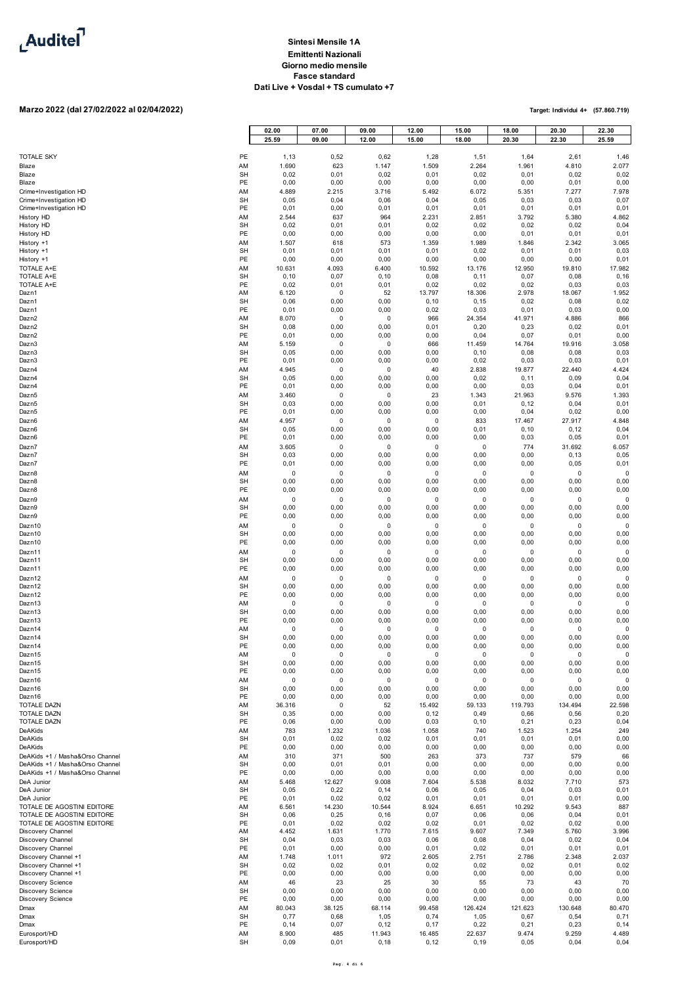

# **Marzo 2022 (dal 27/02/2022 al 02/04/2022)**

|                                                                    |                 | 02.00<br>25.59 | 07.00<br>09.00 | 09.00<br>12.00  | 12.00<br>15.00  | 15.00<br>18.00  | 18.00<br>20.30  | 20.30<br>22.30  | 22.30<br>25.59 |
|--------------------------------------------------------------------|-----------------|----------------|----------------|-----------------|-----------------|-----------------|-----------------|-----------------|----------------|
| <b>TOTALE SKY</b>                                                  | PE              |                | 0,52           | 0,62            | 1,28            |                 |                 |                 | 1,46           |
| Blaze                                                              | AM              | 1,13<br>1.690  | 623            | 1.147           | 1.509           | 1,51<br>2.264   | 1,64<br>1.961   | 2,61<br>4.810   | 2.077          |
| Blaze<br>Blaze                                                     | <b>SH</b><br>PE | 0,02<br>0,00   | 0,01<br>0,00   | 0,02<br>0,00    | 0,01<br>0,00    | 0,02<br>0,00    | 0,01<br>0,00    | 0,02<br>0,01    | 0,02<br>0,00   |
| Crime+Investigation HD                                             | AM              | 4.889          | 2.215          | 3.716           | 5.492           | 6.072           | 5.351           | 7.277           | 7.978          |
| Crime+Investigation HD<br>Crime+Investigation HD                   | <b>SH</b><br>PE | 0,05<br>0,01   | 0,04<br>0,00   | 0,06<br>0,01    | 0,04<br>0,01    | 0,05<br>0,01    | 0,03<br>0,01    | 0,03<br>0,01    | 0,07<br>0,01   |
| History HD                                                         | AM              | 2.544          | 637            | 964             | 2.231           | 2.851           | 3.792           | 5.380           | 4.862          |
| History HD<br>History HD                                           | <b>SH</b><br>PE | 0,02<br>0,00   | 0,01<br>0,00   | 0,01<br>0,00    | 0,02<br>0,00    | 0,02<br>0,00    | 0,02<br>0,01    | 0,02<br>0,01    | 0,04<br>0,01   |
| History +1                                                         | AM              | 1.507          | 618            | 573             | 1.359           | 1.989           | 1.846           | 2.342           | 3.065          |
| History +1                                                         | <b>SH</b><br>PE | 0,01<br>0,00   | 0,01<br>0,00   | 0,01<br>0,00    | 0,01<br>0,00    | 0,02<br>0,00    | 0,01<br>0,00    | 0,01<br>0,00    | 0,03<br>0,01   |
| History +1<br><b>TOTALE A+E</b>                                    | AM              | 10.631         | 4.093          | 6.400           | 10.592          | 13.176          | 12.950          | 19.810          | 17.982         |
| <b>TOTALE A+E</b><br>TOTALE A+E                                    | SH<br>PE        | 0, 10<br>0,02  | 0,07<br>0,01   | 0, 10<br>0,01   | 0,08<br>0,02    | 0,11<br>0,02    | 0,07<br>0,02    | 0,08<br>0,03    | 0, 16<br>0,03  |
| Dazn1                                                              | AM              | 6.120          | 0              | 52              | 13.797          | 18.306          | 2.978           | 18.067          | 1.952          |
| Dazn1<br>Dazn1                                                     | SH<br>PE        | 0,06<br>0,01   | 0,00<br>0,00   | 0,00<br>0,00    | 0, 10<br>0,02   | 0, 15<br>0,03   | 0,02<br>0,01    | 0,08<br>0,03    | 0,02<br>0,00   |
| Dazn2                                                              | AM              | 8.070          | 0              | 0               | 966             | 24.354          | 41.971          | 4.886           | 866            |
| Dazn2<br>Dazn2                                                     | <b>SH</b><br>PE | 0,08<br>0,01   | 0,00<br>0,00   | 0,00<br>0,00    | 0,01<br>0,00    | 0,20<br>0,04    | 0,23<br>0,07    | 0,02<br>0,01    | 0,01<br>0,00   |
| Dazn3                                                              | AM              | 5.159          | 0              | 0               | 666             | 11.459          | 14.764          | 19.916          | 3.058          |
| Dazn3<br>Dazn3                                                     | <b>SH</b><br>PE | 0,05<br>0,01   | 0,00<br>0,00   | 0,00<br>0,00    | 0,00<br>0,00    | 0, 10<br>0,02   | 0,08<br>0,03    | 0,08<br>0,03    | 0,03<br>0,01   |
| Dazn4                                                              | AM              | 4.945          | 0              | 0               | 40              | 2.838           | 19.877          | 22.440          | 4.424          |
| Dazn4<br>Dazn4                                                     | <b>SH</b><br>PE | 0,05<br>0,01   | 0,00<br>0,00   | 0,00<br>0,00    | 0,00<br>0,00    | 0,02<br>0,00    | 0, 11<br>0,03   | 0,09<br>0,04    | 0,04<br>0,01   |
| Dazn <sub>5</sub>                                                  | AM              | 3.460          | $\mathbf 0$    | $\mathbf 0$     | 23              | 1.343           | 21.963          | 9.576           | 1.393          |
| Dazn5<br>Dazn <sub>5</sub>                                         | <b>SH</b><br>PE | 0,03<br>0,01   | 0,00<br>0,00   | 0,00<br>0,00    | 0,00<br>0,00    | 0,01<br>0,00    | 0, 12<br>0,04   | 0,04<br>0,02    | 0,01<br>0,00   |
| Dazn6                                                              | AM              | 4.957          | $\pmb{0}$      | 0               | $\pmb{0}$       | 833             | 17.467          | 27.917          | 4.848          |
| Dazn6<br>Dazn6                                                     | <b>SH</b><br>PE | 0,05<br>0,01   | 0,00<br>0,00   | 0,00<br>0,00    | 0,00<br>0,00    | 0,01<br>0,00    | 0, 10<br>0,03   | 0, 12<br>0,05   | 0,04<br>0,01   |
| Dazn7                                                              | AM              | 3.605          | $\mathbf 0$    | $\mathbf 0$     | $\pmb{0}$       | $\pmb{0}$       | 774             | 31.692          | 6.057          |
| Dazn7<br>Dazn7                                                     | <b>SH</b><br>PE | 0,03<br>0,01   | 0,00<br>0,00   | 0,00<br>0,00    | 0,00<br>0,00    | 0,00<br>0,00    | 0,00<br>0,00    | 0, 13<br>0,05   | 0,05<br>0,01   |
| Dazn8                                                              | AM              | 0              | 0              | 0               | $\mathbf 0$     | 0               | $\mathbf 0$     | 0               | $\Omega$       |
| Dazn8<br>Dazn8                                                     | <b>SH</b><br>PE | 0,00<br>0,00   | 0,00<br>0,00   | 0,00<br>0,00    | 0,00<br>0,00    | 0,00<br>0,00    | 0,00<br>0,00    | 0,00<br>0,00    | 0,00<br>0,00   |
| Dazn9                                                              | AM              | $\pmb{0}$      | $\mathbf 0$    | 0               | $\pmb{0}$       | 0               | $\mathbf 0$     | 0               | $\mathbf 0$    |
| Dazn9<br>Dazn9                                                     | <b>SH</b><br>PE | 0,00<br>0,00   | 0,00<br>0,00   | 0,00<br>0,00    | 0,00<br>0,00    | 0,00<br>0,00    | 0,00<br>0,00    | 0,00<br>0,00    | 0,00<br>0,00   |
| Dazn10                                                             | AM              | 0              | 0              | 0               | 0               | 0               | $\pmb{0}$       | 0               | $\Omega$       |
| Dazn10<br>Dazn10                                                   | <b>SH</b><br>PE | 0,00<br>0,00   | 0,00<br>0,00   | 0,00<br>0,00    | 0,00<br>0,00    | 0,00<br>0,00    | 0,00<br>0,00    | 0,00<br>0,00    | 0,00<br>0,00   |
| Dazn11                                                             | AM              | $\pmb{0}$      | $\mathbf 0$    | $\mathbf 0$     | $\mathbf 0$     | 0               | $\mathbf 0$     | 0               | $\Omega$       |
| Dazn11<br>Dazn11                                                   | <b>SH</b><br>PE | 0,00<br>0,00   | 0,00<br>0,00   | 0,00<br>0,00    | 0,00<br>0,00    | 0,00<br>0,00    | 0,00<br>0,00    | 0,00<br>0,00    | 0,00<br>0,00   |
| Dazn12                                                             | AM              | 0              | 0              | 0               | 0               | 0               | $\pmb{0}$       | 0               | $\Omega$       |
| Dazn12<br>Dazn12                                                   | <b>SH</b><br>PE | 0,00<br>0,00   | 0,00<br>0,00   | 0,00<br>0,00    | 0,00<br>0,00    | 0,00<br>0,00    | 0,00<br>0,00    | 0,00<br>0,00    | 0,00<br>0,00   |
| Dazn13                                                             | AM              | 0              | 0              | 0               | 0               | 0               | 0               | 0               | $\pmb{0}$      |
| Dazn13<br>Dazn13                                                   | <b>SH</b><br>PE | 0,00<br>0,00   | 0,00<br>0,00   | 0,00<br>0,00    | 0,00<br>0,00    | 0,00<br>0,00    | 0,00<br>0,00    | 0,00<br>0,00    | 0,00<br>0,00   |
| Dazn14                                                             | AM              | 0              | 0              | 0               | $\pmb{0}$       | $\mathbf 0$     | 0               | 0               | $\Omega$       |
| Dazn14<br>Dazn14                                                   | <b>SH</b><br>PE | 0,00<br>0,00   | 0,00<br>0,00   | 0,00<br>0,00    | 0,00<br>0,00    | 0,00<br>0,00    | 0,00<br>0,00    | 0,00<br>0,00    | 0,00<br>0,00   |
| Dazn15                                                             | AM              | $\pmb{0}$      | $\mathbf 0$    | $\pmb{0}$       | $\mathbf 0$     | 0               | $\mathbf 0$     | $\mathsf 0$     | 0              |
| Dazn15<br>Dazn15                                                   | <b>SH</b><br>PE | 0,00<br>0,00   | 0,00<br>0,00   | 0,00<br>0,00    | 0,00<br>0,00    | 0,00<br>0,00    | 0,00<br>0,00    | 0,00<br>0,00    | 0,00<br>0,00   |
| Dazn16                                                             | AM              | $\pmb{0}$      | $\mathbf 0$    | 0               | 0               | 0               | $\mathbf 0$     | 0               | $\Omega$       |
| Dazn16<br>Dazn16                                                   | <b>SH</b><br>PE | 0,00<br>0,00   | 0,00<br>0,00   | 0,00<br>0,00    | 0,00<br>0,00    | 0,00<br>0,00    | 0,00<br>0,00    | 0,00<br>0,00    | 0,00<br>0,00   |
| TOTALE DAZN<br>TOTALE DAZN                                         | AM<br><b>SH</b> | 36.316<br>0,35 | 0<br>0,00      | 52<br>0,00      | 15.492<br>0, 12 | 59.133<br>0,49  | 119.793<br>0,66 | 134.494<br>0,56 | 22.598<br>0,20 |
| TOTALE DAZN                                                        | PE              | 0,06           | 0,00           | 0,00            | 0,03            | 0, 10           | 0,21            | 0,23            | 0,04           |
| <b>DeAKids</b><br>DeAKids                                          | AM<br><b>SH</b> | 783<br>0,01    | 1.232<br>0,02  | 1.036<br>0,02   | 1.058<br>0,01   | 740<br>0,01     | 1.523<br>0,01   | 1.254<br>0,01   | 249<br>0,00    |
| DeAKids                                                            | PE              | 0,00           | 0,00           | 0,00            | 0,00            | 0,00            | 0,00            | 0,00            | 0,00           |
| DeAKids +1 / Masha&Orso Channel<br>DeAKids +1 / Masha&Orso Channel | AM<br><b>SH</b> | 310<br>0,00    | 371<br>0,01    | 500<br>0,01     | 263<br>0,00     | 373<br>0,00     | 737<br>0,00     | 579<br>0,00     | 66<br>0,00     |
| DeAKids +1 / Masha&Orso Channel                                    | PE              | 0,00           | 0,00           | 0,00            | 0,00            | 0,00            | 0,00            | 0,00            | 0,00           |
| DeA Junior<br>DeA Junior                                           | AM<br><b>SH</b> | 5.468<br>0,05  | 12.627<br>0,22 | 9.008<br>0, 14  | 7.604<br>0,06   | 5.538<br>0,05   | 8.032<br>0,04   | 7.710<br>0,03   | 573<br>0,01    |
| DeA Junior                                                         | PE              | 0,01           | 0,02           | 0,02            | 0,01            | 0,01            | 0,01            | 0,01            | 0,00           |
| TOTALE DE AGOSTINI EDITORE<br>TOTALE DE AGOSTINI EDITORE           | AM<br><b>SH</b> | 6.561<br>0,06  | 14.230<br>0,25 | 10.544<br>0, 16 | 8.924<br>0,07   | 6.651<br>0,06   | 10.292<br>0,06  | 9.543<br>0,04   | 887<br>0,01    |
| TOTALE DE AGOSTINI EDITORE                                         | PE              | 0,01           | 0,02           | 0,02            | 0,02            | 0,01            | 0,02            | 0,02            | 0,00           |
| Discovery Channel<br>Discovery Channel                             | AM<br><b>SH</b> | 4.452<br>0,04  | 1.631<br>0,03  | 1.770<br>0,03   | 7.615<br>0,06   | 9.607<br>0,08   | 7.349<br>0,04   | 5.760<br>0,02   | 3.996<br>0,04  |
| Discovery Channel                                                  | PE              | 0,01           | 0,00           | 0,00            | 0,01            | 0,02            | 0,01            | 0,01            | 0,01           |
| Discovery Channel +1<br>Discovery Channel +1                       | AM<br><b>SH</b> | 1.748<br>0,02  | 1.011<br>0,02  | 972<br>0,01     | 2.605<br>0,02   | 2.751<br>0,02   | 2.786<br>0,02   | 2.348<br>0,01   | 2.037<br>0,02  |
| Discovery Channel +1                                               | PE              | 0,00           | 0,00           | 0,00            | 0,00            | 0,00            | 0,00            | 0,00            | 0,00           |
| Discovery Science<br>Discovery Science                             | AM<br><b>SH</b> | 46<br>0,00     | 23<br>0,00     | 25<br>0,00      | 30<br>0,00      | 55<br>0,00      | 73<br>0,00      | 43<br>0,00      | 70<br>0,00     |
| Discovery Science<br>Dmax                                          | PE<br>AM        | 0,00<br>80.043 | 0,00<br>38.125 | 0,00<br>68.114  | 0,00<br>99.458  | 0,00<br>126.424 | 0,00<br>121.623 | 0,00<br>130.648 | 0,00<br>80.470 |
| Dmax                                                               | <b>SH</b>       | 0,77           | 0,68           | 1,05            | 0,74            | 1,05            | 0,67            | 0,54            | 0,71           |
| Dmax<br>Eurosport/HD                                               | PE<br>AM        | 0, 14<br>8.900 | 0,07<br>485    | 0, 12<br>11.943 | 0, 17<br>16.485 | 0,22<br>22.637  | 0,21<br>9.474   | 0,23<br>9.259   | 0, 14<br>4.489 |
| Eurosport/HD                                                       | <b>SH</b>       | 0,09           | 0,01           | 0, 18           | 0, 12           | 0, 19           | 0,05            | 0,04            | 0,04           |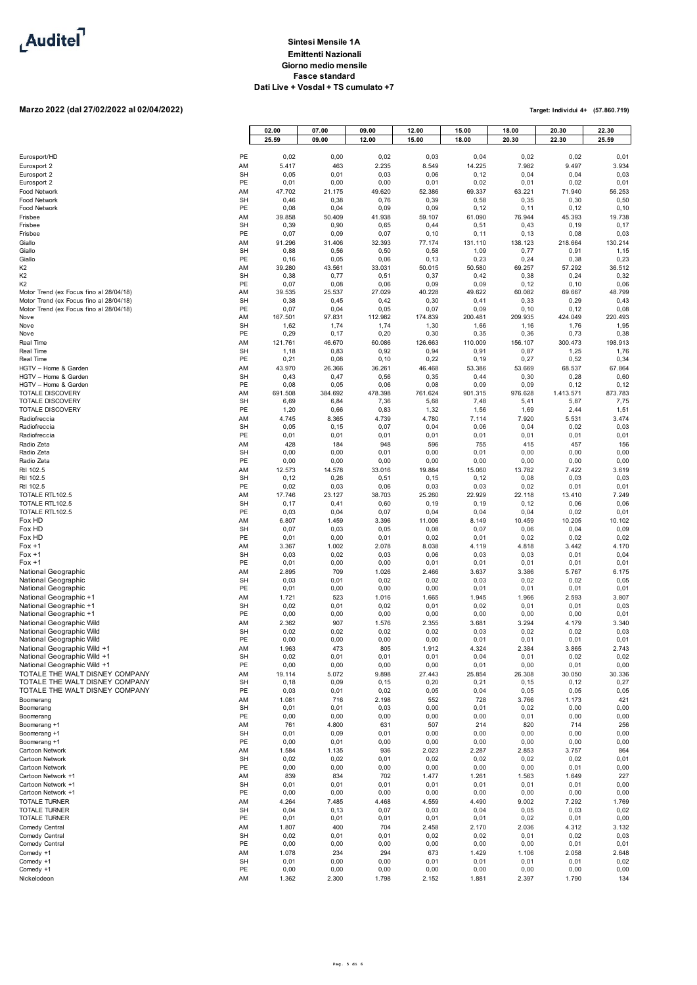

# **Marzo 2022 (dal 27/02/2022 al 02/04/2022)**

|                                                            |                 | 02.00           | 07.00          | 09.00           | 12.00           | 15.00           | 18.00           | 20.30           | 22.30           |
|------------------------------------------------------------|-----------------|-----------------|----------------|-----------------|-----------------|-----------------|-----------------|-----------------|-----------------|
|                                                            |                 | 25.59           | 09.00          | 12.00           | 15.00           | 18.00           | 20.30           | 22.30           | 25.59           |
| Eurosport/HD                                               | PE              | 0,02            | 0,00           | 0,02            | 0,03            | 0,04            | 0,02            | 0,02            | 0,01            |
| Eurosport 2<br>Eurosport 2                                 | AM<br><b>SH</b> | 5.417<br>0,05   | 463<br>0,01    | 2.235<br>0,03   | 8.549<br>0,06   | 14.225<br>0, 12 | 7.982<br>0,04   | 9.497<br>0,04   | 3.934<br>0,03   |
| Eurosport 2                                                | PE              | 0,01            | 0,00           | 0,00            | 0,01            | 0,02            | 0,01            | 0,02            | 0,01            |
| Food Network                                               | AM              | 47.702          | 21.175         | 49.620          | 52.386          | 69.337          | 63.221          | 71.940          | 56.253          |
| <b>Food Network</b><br>Food Network                        | SH<br>PE        | 0,46<br>0,08    | 0,38<br>0,04   | 0,76<br>0,09    | 0, 39<br>0,09   | 0,58<br>0, 12   | 0,35<br>0, 11   | 0,30<br>0,12    | 0,50<br>0, 10   |
| Frisbee                                                    | AM              | 39.858          | 50.409         | 41.938          | 59.107          | 61.090          | 76.944          | 45.393          | 19.738          |
| Frisbee                                                    | <b>SH</b>       | 0,39            | 0,90           | 0,65            | 0,44            | 0,51            | 0,43            | 0, 19           | 0, 17           |
| Frisbee                                                    | PE              | 0,07            | 0,09           | 0,07            | 0, 10           | 0, 11           | 0, 13           | 0,08            | 0,03            |
| Giallo<br>Giallo                                           | AM<br><b>SH</b> | 91.296<br>0,88  | 31.406<br>0,56 | 32.393<br>0,50  | 77.174<br>0,58  | 131.110<br>1,09 | 138.123<br>0,77 | 218.664<br>0,91 | 130.214<br>1,15 |
| Giallo                                                     | PE              | 0, 16           | 0,05           | 0,06            | 0, 13           | 0,23            | 0,24            | 0,38            | 0,23            |
| K <sub>2</sub><br>K <sub>2</sub>                           | AM<br><b>SH</b> | 39.280          | 43.561         | 33.031          | 50.015          | 50.580          | 69.257          | 57.292          | 36.512          |
| K <sub>2</sub>                                             | PE              | 0,38<br>0,07    | 0,77<br>0,08   | 0,51<br>0,06    | 0,37<br>0,09    | 0,42<br>0,09    | 0,38<br>0, 12   | 0,24<br>0, 10   | 0,32<br>0,06    |
| Motor Trend (ex Focus fino al 28/04/18)                    | AM              | 39.535          | 25.537         | 27.029          | 40.228          | 49.622          | 60.082          | 69.667          | 48.799          |
| Motor Trend (ex Focus fino al 28/04/18)                    | <b>SH</b><br>PE | 0,38<br>0,07    | 0,45           | 0,42            | 0, 30           | 0,41            | 0,33<br>0, 10   | 0,29<br>0, 12   | 0,43            |
| Motor Trend (ex Focus fino al 28/04/18)<br>Nove            | AM              | 167.501         | 0,04<br>97.831 | 0,05<br>112.982 | 0,07<br>174.839 | 0,09<br>200.481 | 209.935         | 424.049         | 0,08<br>220.493 |
| Nove                                                       | <b>SH</b>       | 1,62            | 1,74           | 1,74            | 1,30            | 1,66            | 1,16            | 1,76            | 1,95            |
| Nove                                                       | PE              | 0,29            | 0, 17          | 0,20            | 0, 30           | 0,35            | 0,36            | 0,73            | 0,38            |
| Real Time<br>Real Time                                     | AM<br><b>SH</b> | 121.761<br>1,18 | 46.670<br>0,83 | 60.086<br>0,92  | 126.663<br>0,94 | 110.009<br>0,91 | 156.107<br>0,87 | 300.473<br>1,25 | 198.913<br>1,76 |
| Real Time                                                  | PE              | 0,21            | 0,08           | 0, 10           | 0,22            | 0, 19           | 0,27            | 0,52            | 0,34            |
| HGTV - Home & Garden                                       | AM              | 43.970          | 26.366         | 36.261          | 46.468          | 53.386          | 53.669          | 68.537          | 67.864          |
| HGTV - Home & Garden<br>HGTV - Home & Garden               | <b>SH</b><br>PE | 0,43<br>0,08    | 0,47<br>0,05   | 0,56<br>0,06    | 0,35<br>0,08    | 0,44<br>0,09    | 0,30<br>0,09    | 0,28<br>0, 12   | 0,60<br>0, 12   |
| <b>TOTALE DISCOVERY</b>                                    | AM              | 691.508         | 384.692        | 478.398         | 761.624         | 901.315         | 976.628         | 1.413.571       | 873.783         |
| <b>TOTALE DISCOVERY</b>                                    | <b>SH</b>       | 6,69            | 6,84           | 7,36            | 5,68            | 7,48            | 5,41            | 5,87            | 7,75            |
| TOTALE DISCOVERY<br>Radiofreccia                           | PE<br>AM        | 1,20<br>4.745   | 0,66<br>8.365  | 0,83<br>4.739   | 1,32<br>4.780   | 1,56<br>7.114   | 1,69<br>7.920   | 2,44<br>5.531   | 1,51<br>3.474   |
| Radiofreccia                                               | <b>SH</b>       | 0,05            | 0, 15          | 0,07            | 0,04            | 0,06            | 0,04            | 0,02            | 0,03            |
| Radiofreccia                                               | PE              | 0,01            | 0,01           | 0,01            | 0,01            | 0,01            | 0,01            | 0,01            | 0,01            |
| Radio Zeta<br>Radio Zeta                                   | AM<br><b>SH</b> | 428<br>0,00     | 184<br>0,00    | 948<br>0,01     | 596<br>0,00     | 755<br>0,01     | 415<br>0,00     | 457<br>0,00     | 156<br>0,00     |
| Radio Zeta                                                 | PE              | 0,00            | 0,00           | 0,00            | 0,00            | 0,00            | 0,00            | 0,00            | 0,00            |
| Rtl 102.5                                                  | AM              | 12.573          | 14.578         | 33.016          | 19.884          | 15.060          | 13.782          | 7.422           | 3.619           |
| Rtl 102.5<br>Rtl 102.5                                     | <b>SH</b><br>PE | 0, 12<br>0,02   | 0,26<br>0,03   | 0,51<br>0,06    | 0, 15<br>0,03   | 0, 12<br>0,03   | 0,08<br>0,02    | 0,03<br>0,01    | 0,03<br>0,01    |
| TOTALE RTL102.5                                            | AM              | 17.746          | 23.127         | 38.703          | 25.260          | 22.929          | 22.118          | 13.410          | 7.249           |
| TOTALE RTL102.5                                            | <b>SH</b>       | 0,17            | 0,41           | 0,60            | 0, 19           | 0, 19           | 0, 12           | 0,06            | 0,06            |
| TOTALE RTL102.5                                            | PE              | 0,03            | 0,04           | 0,07            | 0,04            | 0,04            | 0,04            | 0,02            | 0,01            |
| Fox HD<br>Fox HD                                           | AM<br><b>SH</b> | 6.807<br>0,07   | 1.459<br>0,03  | 3.396<br>0,05   | 11.006<br>0,08  | 8.149<br>0,07   | 10.459<br>0,06  | 10.205<br>0,04  | 10.102<br>0,09  |
| Fox HD                                                     | PE              | 0,01            | 0,00           | 0,01            | 0,02            | 0,01            | 0,02            | 0,02            | 0,02            |
| $For +1$                                                   | AM              | 3.367           | 1.002          | 2.078           | 8.038           | 4.119           | 4.818           | 3.442           | 4.170           |
| $For +1$<br>$For +1$                                       | <b>SH</b><br>PE | 0,03<br>0,01    | 0,02<br>0,00   | 0,03<br>0,00    | 0,06<br>0,01    | 0,03<br>0,01    | 0,03<br>0,01    | 0,01<br>0,01    | 0,04<br>0,01    |
| National Geographic                                        | AM              | 2.895           | 709            | 1.026           | 2.466           | 3.637           | 3.386           | 5.767           | 6.175           |
| National Geographic                                        | <b>SH</b>       | 0,03            | 0,01           | 0,02            | 0,02            | 0,03            | 0,02            | 0,02            | 0,05            |
| National Geographic<br>National Geographic +1              | PE<br>AM        | 0,01<br>1.721   | 0,00<br>523    | 0,00<br>1.016   | 0,00<br>1.665   | 0,01<br>1.945   | 0,01<br>1.966   | 0,01<br>2.593   | 0,01<br>3.807   |
| National Geographic +1                                     | <b>SH</b>       | 0,02            | 0,01           | 0,02            | 0,01            | 0,02            | 0,01            | 0,01            | 0,03            |
| National Geographic +1                                     | PE              | 0,00            | 0,00           | 0,00            | 0,00            | 0,00            | 0,00            | 0,00            | 0,01            |
| National Geographic Wild<br>National Geographic Wild       | AM<br>SH        | 2.362<br>0,02   | 907<br>0,02    | 1.576<br>0,02   | 2.355<br>0,02   | 3.681<br>0,03   | 3.294<br>0,02   | 4.179<br>0,02   | 3.340<br>0,03   |
| National Geographic Wild                                   | PE              | 0,00            | 0,00           | 0,00            | 0,00            | 0,01            | 0,01            | 0,01            | 0,01            |
| National Geographic Wild +1                                | AM              | 1.963           | 473            | 805             | 1.912           | 4.324           | 2.384           | 3.865           | 2.743           |
| National Geographic Wild +1<br>National Geographic Wild +1 | <b>SH</b><br>PE | 0,02<br>0,00    | 0,01<br>0,00   | 0,01<br>0,00    | 0,01<br>0,00    | 0,04<br>0,01    | 0,01<br>0,00    | 0,02<br>0,01    | 0,02<br>0,00    |
| TOTALE THE WALT DISNEY COMPANY                             | AM              | 19.114          | 5.072          | 9.898           | 27.443          | 25.854          | 26.308          | 30.050          | 30.336          |
| TOTALE THE WALT DISNEY COMPANY                             | <b>SH</b>       | 0, 18           | 0,09           | 0, 15           | 0,20            | 0,21            | 0, 15           | 0, 12           | 0,27            |
| TOTALE THE WALT DISNEY COMPANY<br>Boomerang                | PE<br>AM        | 0,03<br>1.081   | 0,01<br>716    | 0,02<br>2.198   | 0,05<br>552     | 0,04<br>728     | 0,05<br>3.766   | 0,05<br>1.173   | 0,05<br>421     |
| Boomerang                                                  | <b>SH</b>       | 0,01            | 0,01           | 0,03            | 0,00            | 0,01            | 0,02            | 0,00            | 0,00            |
| Boomerang                                                  | PE              | 0,00            | 0,00           | 0,00            | 0,00            | 0,00            | 0,01            | 0,00            | 0,00            |
| Boomerang +1                                               | AM              | 761             | 4.800          | 631             | 507             | 214             | 820             | 714             | 256             |
| Boomerang +1<br>Boomerang +1                               | <b>SH</b><br>PE | 0,01<br>0,00    | 0,09<br>0,01   | 0,01<br>0,00    | 0,00<br>0,00    | 0,00<br>0,00    | 0,00<br>0,00    | 0,00<br>0,00    | 0,00<br>0,00    |
| Cartoon Network                                            | AM              | 1.584           | 1.135          | 936             | 2.023           | 2.287           | 2.853           | 3.757           | 864             |
| Cartoon Network                                            | <b>SH</b>       | 0,02            | 0,02           | 0,01            | 0,02            | 0,02            | 0,02            | 0,02            | 0,01            |
| Cartoon Network<br>Cartoon Network +1                      | PE<br>AM        | 0,00<br>839     | 0,00<br>834    | 0,00<br>702     | 0,00<br>1.477   | 0,00<br>1.261   | 0,00<br>1.563   | 0,01<br>1.649   | 0,00<br>227     |
| Cartoon Network +1                                         | <b>SH</b>       | 0,01            | 0,01           | 0,01            | 0,01            | 0,01            | 0,01            | 0,01            | 0,00            |
| Cartoon Network +1                                         | PE              | 0,00            | 0,00           | 0,00            | 0,00            | 0,00            | 0,00            | 0,00            | 0,00            |
| <b>TOTALE TURNER</b><br><b>TOTALE TURNER</b>               | AM<br><b>SH</b> | 4.264<br>0,04   | 7.485<br>0, 13 | 4.468<br>0,07   | 4.559<br>0,03   | 4.490<br>0,04   | 9.002<br>0,05   | 7.292<br>0,03   | 1.769<br>0,02   |
| TOTALE TURNER                                              | PE              | 0,01            | 0,01           | 0,01            | 0,01            | 0,01            | 0,02            | 0,01            | 0,00            |
| Comedy Central                                             | AM              | 1.807           | 400            | 704             | 2.458           | 2.170           | 2.036           | 4.312           | 3.132           |
| Comedy Central<br>Comedy Central                           | <b>SH</b><br>PE | 0,02<br>0,00    | 0,01<br>0,00   | 0,01<br>0,00    | 0,02<br>0,00    | 0,02<br>0,00    | 0,01<br>0,00    | 0,02<br>0,01    | 0,03<br>0,01    |
| Comedy +1                                                  | AM              | 1.078           | 234            | 294             | 673             | 1.429           | 1.106           | 2.058           | 2.648           |
| Comedy +1                                                  | <b>SH</b>       | 0,01            | 0,00           | 0,00            | 0,01            | 0,01            | 0,01            | 0,01            | 0,02            |
| Comedy +1<br>Nickelodeon                                   | PE<br>AM        | 0,00<br>1.362   | 0,00<br>2.300  | 0,00<br>1.798   | 0,00<br>2.152   | 0,00<br>1.881   | 0,00<br>2.397   | 0,00<br>1.790   | 0,00<br>134     |
|                                                            |                 |                 |                |                 |                 |                 |                 |                 |                 |